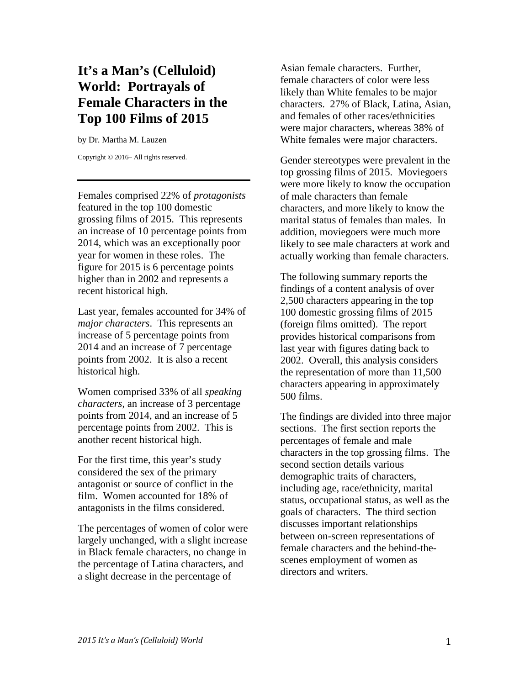# **It's a Man's (Celluloid) World: Portrayals of Female Characters in the Top 100 Films of 2015**

by Dr. Martha M. Lauzen

Copyright © 2016– All rights reserved.

Females comprised 22% of *protagonists* featured in the top 100 domestic grossing films of 2015. This represents an increase of 10 percentage points from 2014, which was an exceptionally poor year for women in these roles. The figure for 2015 is 6 percentage points higher than in 2002 and represents a recent historical high.

Last year, females accounted for 34% of *major characters*. This represents an increase of 5 percentage points from 2014 and an increase of 7 percentage points from 2002. It is also a recent historical high.

Women comprised 33% of all *speaking characters*, an increase of 3 percentage points from 2014, and an increase of 5 percentage points from 2002. This is another recent historical high.

For the first time, this year's study considered the sex of the primary antagonist or source of conflict in the film. Women accounted for 18% of antagonists in the films considered.

The percentages of women of color were largely unchanged, with a slight increase in Black female characters, no change in the percentage of Latina characters, and a slight decrease in the percentage of

Asian female characters. Further, female characters of color were less likely than White females to be major characters. 27% of Black, Latina, Asian, and females of other races/ethnicities were major characters, whereas 38% of White females were major characters.

Gender stereotypes were prevalent in the top grossing films of 2015. Moviegoers were more likely to know the occupation of male characters than female characters, and more likely to know the marital status of females than males. In addition, moviegoers were much more likely to see male characters at work and actually working than female characters.

The following summary reports the findings of a content analysis of over 2,500 characters appearing in the top 100 domestic grossing films of 2015 (foreign films omitted). The report provides historical comparisons from last year with figures dating back to 2002. Overall, this analysis considers the representation of more than 11,500 characters appearing in approximately 500 films.

The findings are divided into three major sections. The first section reports the percentages of female and male characters in the top grossing films. The second section details various demographic traits of characters, including age, race/ethnicity, marital status, occupational status, as well as the goals of characters. The third section discusses important relationships between on-screen representations of female characters and the behind-thescenes employment of women as directors and writers.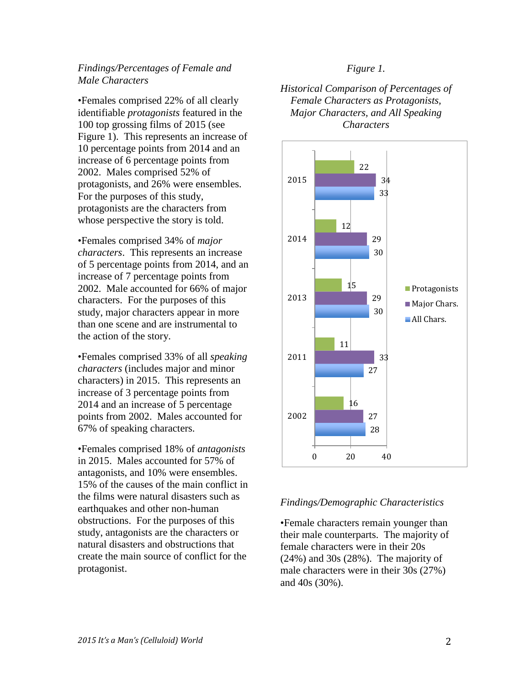## *Findings/Percentages of Female and Male Characters*

•Females comprised 22% of all clearly identifiable *protagonists* featured in the 100 top grossing films of 2015 (see Figure 1). This represents an increase of 10 percentage points from 2014 and an increase of 6 percentage points from 2002. Males comprised 52% of protagonists, and 26% were ensembles. For the purposes of this study, protagonists are the characters from whose perspective the story is told.

•Females comprised 34% of *major characters*. This represents an increase of 5 percentage points from 2014, and an increase of 7 percentage points from 2002. Male accounted for 66% of major characters. For the purposes of this study, major characters appear in more than one scene and are instrumental to the action of the story.

•Females comprised 33% of all *speaking characters* (includes major and minor characters) in 2015. This represents an increase of 3 percentage points from 2014 and an increase of 5 percentage points from 2002. Males accounted for 67% of speaking characters.

•Females comprised 18% of *antagonists* in 2015. Males accounted for 57% of antagonists, and 10% were ensembles. 15% of the causes of the main conflict in the films were natural disasters such as earthquakes and other non-human obstructions. For the purposes of this study, antagonists are the characters or natural disasters and obstructions that create the main source of conflict for the protagonist.

### *Figure 1.*

*Historical Comparison of Percentages of Female Characters as Protagonists, Major Characters, and All Speaking Characters*



#### *Findings/Demographic Characteristics*

•Female characters remain younger than their male counterparts. The majority of female characters were in their 20s (24%) and 30s (28%). The majority of male characters were in their 30s (27%) and 40s (30%).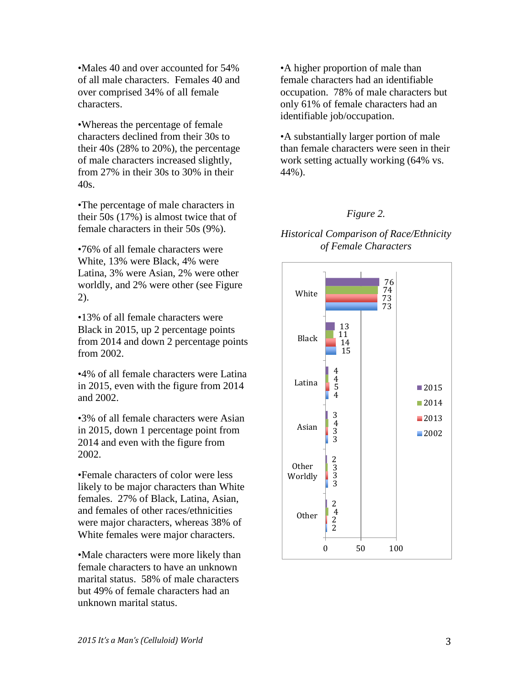•Males 40 and over accounted for 54% of all male characters. Females 40 and over comprised 34% of all female characters.

•Whereas the percentage of female characters declined from their 30s to their 40s (28% to 20%), the percentage of male characters increased slightly, from 27% in their 30s to 30% in their 40s.

•The percentage of male characters in their 50s (17%) is almost twice that of female characters in their 50s (9%).

•76% of all female characters were White, 13% were Black, 4% were Latina, 3% were Asian, 2% were other worldly, and 2% were other (see Figure 2).

•13% of all female characters were Black in 2015, up 2 percentage points from 2014 and down 2 percentage points from 2002.

•4% of all female characters were Latina in 2015, even with the figure from 2014 and 2002.

•3% of all female characters were Asian in 2015, down 1 percentage point from 2014 and even with the figure from 2002.

•Female characters of color were less likely to be major characters than White females. 27% of Black, Latina, Asian, and females of other races/ethnicities were major characters, whereas 38% of White females were major characters.

•Male characters were more likely than female characters to have an unknown marital status. 58% of male characters but 49% of female characters had an unknown marital status.

•A higher proportion of male than female characters had an identifiable occupation. 78% of male characters but only 61% of female characters had an identifiable job/occupation.

•A substantially larger portion of male than female characters were seen in their work setting actually working (64% vs. 44%).

## *Figure 2.*

## *Historical Comparison of Race/Ethnicity of Female Characters*